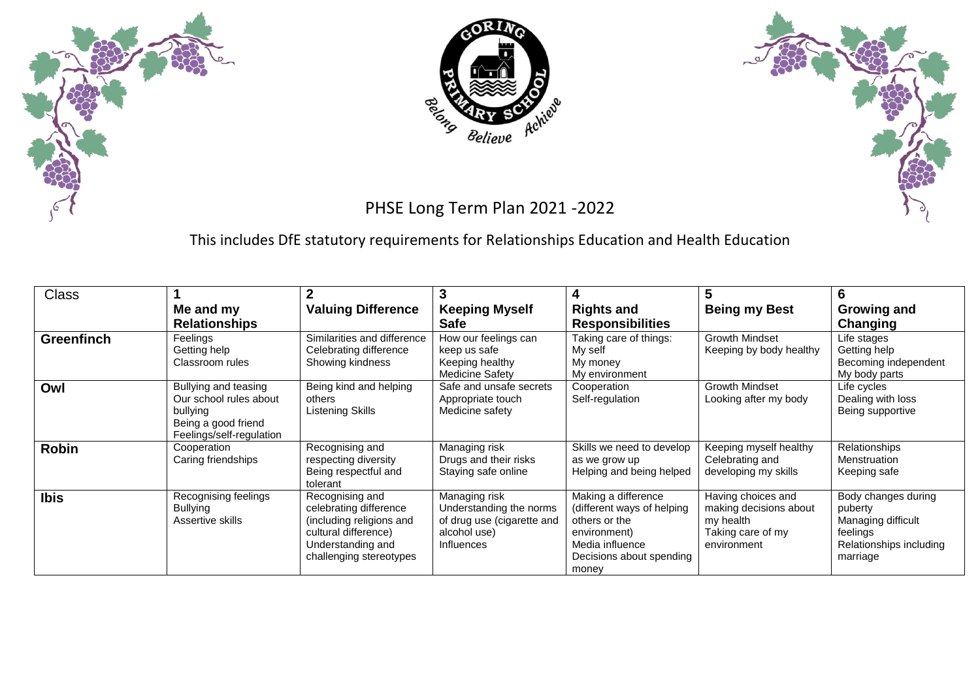





## PHSE Long Term Plan 2021 -2022

This includes DfE statutory requirements for Relationships Education and Health Education

| <b>Class</b>      |                                                                                                               |                                                                                                                                               | 3                                                                                                           | 4                                                                                                                                           | 5                                                                                             | 6                                                                                                       |
|-------------------|---------------------------------------------------------------------------------------------------------------|-----------------------------------------------------------------------------------------------------------------------------------------------|-------------------------------------------------------------------------------------------------------------|---------------------------------------------------------------------------------------------------------------------------------------------|-----------------------------------------------------------------------------------------------|---------------------------------------------------------------------------------------------------------|
|                   | Me and my<br><b>Relationships</b>                                                                             | <b>Valuing Difference</b>                                                                                                                     | <b>Keeping Myself</b><br><b>Safe</b>                                                                        | <b>Rights and</b><br><b>Responsibilities</b>                                                                                                | <b>Being my Best</b>                                                                          | <b>Growing and</b><br>Changing                                                                          |
| <b>Greenfinch</b> | Feelings<br>Getting help<br>Classroom rules                                                                   | Similarities and difference<br>Celebrating difference<br>Showing kindness                                                                     | How our feelings can<br>keep us safe<br>Keeping healthy<br>Medicine Safety                                  | Taking care of things:<br>My self<br>My money<br>My environment                                                                             | <b>Growth Mindset</b><br>Keeping by body healthy                                              | Life stages<br>Getting help<br>Becoming independent<br>My body parts                                    |
| Owl               | Bullying and teasing<br>Our school rules about<br>bullying<br>Being a good friend<br>Feelings/self-regulation | Being kind and helping<br>others<br>Listening Skills                                                                                          | Safe and unsafe secrets<br>Appropriate touch<br>Medicine safety                                             | Cooperation<br>Self-regulation                                                                                                              | <b>Growth Mindset</b><br>Looking after my body                                                | Life cycles<br>Dealing with loss<br>Being supportive                                                    |
| <b>Robin</b>      | Cooperation<br>Caring friendships                                                                             | Recognising and<br>respecting diversity<br>Being respectful and<br>tolerant                                                                   | Managing risk<br>Drugs and their risks<br>Staying safe online                                               | Skills we need to develop<br>as we grow up<br>Helping and being helped                                                                      | Keeping myself healthy<br>Celebrating and<br>developing my skills                             | Relationships<br>Menstruation<br>Keeping safe                                                           |
| <b>Ibis</b>       | Recognising feelings<br><b>Bullying</b><br>Assertive skills                                                   | Recognising and<br>celebrating difference<br>(including religions and<br>cultural difference)<br>Understanding and<br>challenging stereotypes | Managing risk<br>Understanding the norms<br>of drug use (cigarette and<br>alcohol use)<br><b>Influences</b> | Making a difference<br>(different ways of helping)<br>others or the<br>environment)<br>Media influence<br>Decisions about spending<br>money | Having choices and<br>making decisions about<br>my health<br>Taking care of my<br>environment | Body changes during<br>puberty<br>Managing difficult<br>feelings<br>Relationships including<br>marriage |